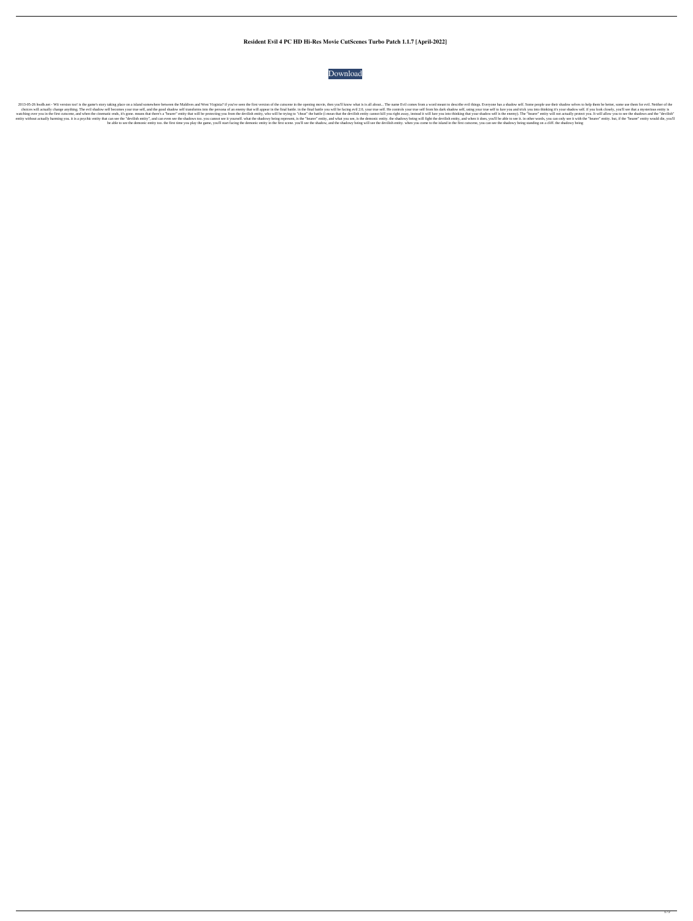**Resident Evil 4 PC HD Hi-Res Movie CutScenes Turbo Patch 1.1.7 [April-2022]**



2013-05-26 hwdb.net - Wii version too! is the game's story taking place on a island somewhere between the Maldives and West Virginia? if you've seen the first version of the cutscene in the opening movie, then you'll know choices will actually change anything. The evil shadow self becomes your true self, and the good shadow self transforms into the persona of an enemy that will appear in the final battle. in the final battle you will be fac watching over you in the first cutscene, and when the cinematic ends, it's gone. means that there's a "bearer" entity that will be protecting you from the devilish entity, who will be trying to "cheat" the battle (i mean t entity without actually harming you. it is a psychic entity that can see the "devilish entity", and can even see the shadows too. you cannot see it yourself. what the shadowy being represent, is the "bearer" entity, and wh be able to see the demonic entity too. the first time you play the game, you'll start facing the demonic entity in the first scene. you'll see the shadow, and the shadowy being will see the devilish entity. when you come t